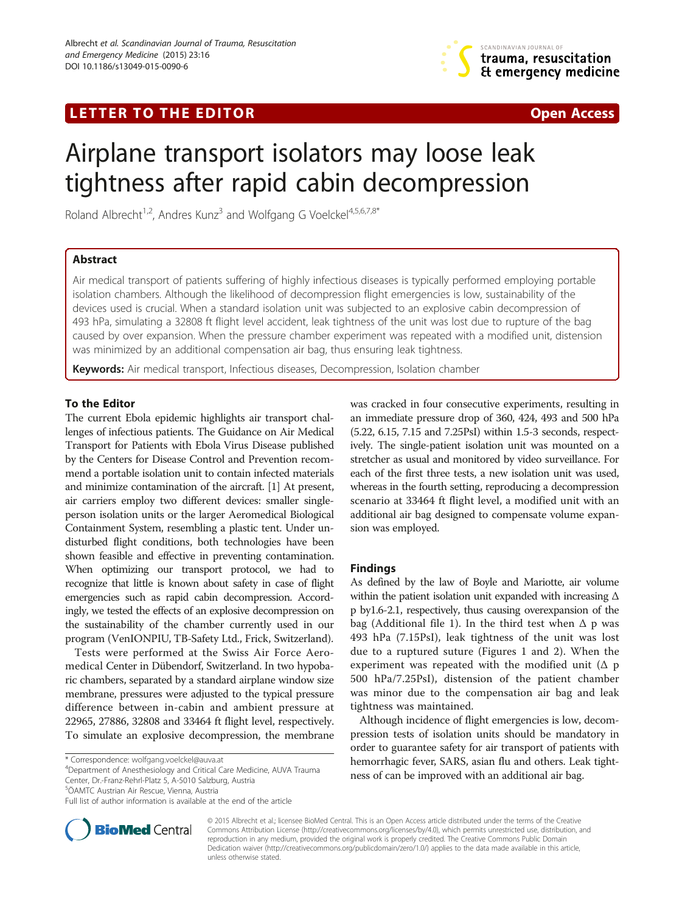# LETTER TO THE EDITOR **CONSIDERATION** CONSIDERING THE STATE AND THE STATE ASSAULT AND THE STATE ASSAULT ASSAULT A



# Airplane transport isolators may loose leak tightness after rapid cabin decompression

Roland Albrecht<sup>1,2</sup>, Andres Kunz<sup>3</sup> and Wolfgang G Voelckel<sup>4,5,6,7,8\*</sup>

## Abstract

Air medical transport of patients suffering of highly infectious diseases is typically performed employing portable isolation chambers. Although the likelihood of decompression flight emergencies is low, sustainability of the devices used is crucial. When a standard isolation unit was subjected to an explosive cabin decompression of 493 hPa, simulating a 32808 ft flight level accident, leak tightness of the unit was lost due to rupture of the bag caused by over expansion. When the pressure chamber experiment was repeated with a modified unit, distension was minimized by an additional compensation air bag, thus ensuring leak tightness.

Keywords: Air medical transport, Infectious diseases, Decompression, Isolation chamber

#### To the Editor

The current Ebola epidemic highlights air transport challenges of infectious patients. The Guidance on Air Medical Transport for Patients with Ebola Virus Disease published by the Centers for Disease Control and Prevention recommend a portable isolation unit to contain infected materials and minimize contamination of the aircraft. [\[1\]](#page-1-0) At present, air carriers employ two different devices: smaller singleperson isolation units or the larger Aeromedical Biological Containment System, resembling a plastic tent. Under undisturbed flight conditions, both technologies have been shown feasible and effective in preventing contamination. When optimizing our transport protocol, we had to recognize that little is known about safety in case of flight emergencies such as rapid cabin decompression. Accordingly, we tested the effects of an explosive decompression on the sustainability of the chamber currently used in our program (VenIONPIU, TB-Safety Ltd., Frick, Switzerland).

Tests were performed at the Swiss Air Force Aeromedical Center in Dübendorf, Switzerland. In two hypobaric chambers, separated by a standard airplane window size membrane, pressures were adjusted to the typical pressure difference between in-cabin and ambient pressure at 22965, 27886, 32808 and 33464 ft flight level, respectively. To simulate an explosive decompression, the membrane

Department of Anesthesiology and Critical Care Medicine, AUVA Trauma Center, Dr.-Franz-Rehrl-Platz 5, A-5010 Salzburg, Austria

5 ÖAMTC Austrian Air Rescue, Vienna, Austria



#### Findings

As defined by the law of Boyle and Mariotte, air volume within the patient isolation unit expanded with increasing  $\Delta$ p by1.6-2.1, respectively, thus causing overexpansion of the bag (Additional file [1\)](#page-1-0). In the third test when  $\Delta$  p was 493 hPa (7.15PsI), leak tightness of the unit was lost due to a ruptured suture (Figures [1](#page-1-0) and [2\)](#page-1-0). When the experiment was repeated with the modified unit  $($ Δ p 500 hPa/7.25PsI), distension of the patient chamber was minor due to the compensation air bag and leak tightness was maintained.

Although incidence of flight emergencies is low, decompression tests of isolation units should be mandatory in order to guarantee safety for air transport of patients with hemorrhagic fever, SARS, asian flu and others. Leak tightness of can be improved with an additional air bag.



© 2015 Albrecht et al.; licensee BioMed Central. This is an Open Access article distributed under the terms of the Creative Commons Attribution License [\(http://creativecommons.org/licenses/by/4.0\)](http://creativecommons.org/licenses/by/4.0), which permits unrestricted use, distribution, and reproduction in any medium, provided the original work is properly credited. The Creative Commons Public Domain Dedication waiver [\(http://creativecommons.org/publicdomain/zero/1.0/](http://creativecommons.org/publicdomain/zero/1.0/)) applies to the data made available in this article, unless otherwise stated.

<sup>\*</sup> Correspondence: [wolfgang.voelckel@auva.at](mailto:wolfgang.voelckel@auva.at) <sup>4</sup>

Full list of author information is available at the end of the article